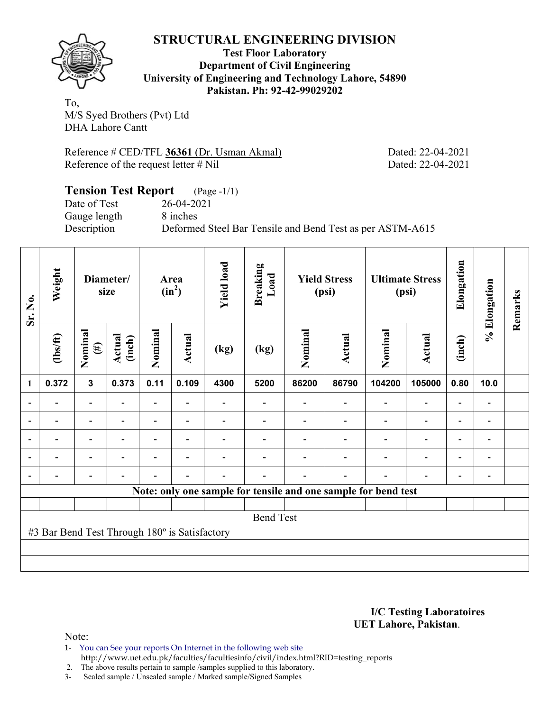

**Test Floor Laboratory Department of Civil Engineering University of Engineering and Technology Lahore, 54890 Pakistan. Ph: 92-42-99029202** 

To, M/S Syed Brothers (Pvt) Ltd DHA Lahore Cantt

Reference # CED/TFL **36361** (Dr. Usman Akmal) Dated: 22-04-2021 Reference of the request letter # Nil Dated: 22-04-2021

### **Tension Test Report** (Page -1/1) Date of Test 26-04-2021 Gauge length 8 inches Description Deformed Steel Bar Tensile and Bend Test as per ASTM-A615

| Sr. No. | Weight                                        |                          | Diameter/<br>size |                          | Area<br>$(in^2)$         | <b>Yield load</b> | <b>Breaking</b><br>Load                                        |         | <b>Yield Stress</b><br>(psi) |         | <b>Ultimate Stress</b><br>(psi) | Elongation     | % Elongation                 | Remarks |
|---------|-----------------------------------------------|--------------------------|-------------------|--------------------------|--------------------------|-------------------|----------------------------------------------------------------|---------|------------------------------|---------|---------------------------------|----------------|------------------------------|---------|
|         | $\frac{2}{10}$                                | Nominal<br>$(\#)$        | Actual<br>(inch)  | Nominal                  | Actual                   | (kg)              | (kg)                                                           | Nominal | <b>Actual</b>                | Nominal | <b>Actual</b>                   | (inch)         |                              |         |
| 1       | 0.372                                         | $\mathbf{3}$             | 0.373             | 0.11                     | 0.109                    | 4300              | 5200                                                           | 86200   | 86790                        | 104200  | 105000                          | 0.80           | 10.0                         |         |
|         |                                               | $\blacksquare$           |                   | $\overline{\phantom{0}}$ |                          |                   |                                                                |         |                              |         |                                 |                | $\qquad \qquad \blacksquare$ |         |
|         |                                               | $\overline{\phantom{0}}$ |                   | $\blacksquare$           | $\overline{\phantom{a}}$ |                   |                                                                |         |                              |         |                                 |                | $\qquad \qquad \blacksquare$ |         |
|         |                                               | $\overline{\phantom{0}}$ |                   |                          | -                        |                   |                                                                |         |                              |         |                                 |                | $\qquad \qquad \blacksquare$ |         |
|         |                                               | $\overline{\phantom{0}}$ |                   |                          | $\overline{\phantom{0}}$ |                   |                                                                |         |                              |         | $\overline{\phantom{0}}$        | $\blacksquare$ | $\qquad \qquad \blacksquare$ |         |
|         |                                               | $\overline{\phantom{0}}$ |                   |                          | $\overline{\phantom{0}}$ |                   |                                                                |         |                              |         |                                 |                | $\qquad \qquad \blacksquare$ |         |
|         |                                               |                          |                   |                          |                          |                   | Note: only one sample for tensile and one sample for bend test |         |                              |         |                                 |                |                              |         |
|         |                                               |                          |                   |                          |                          |                   |                                                                |         |                              |         |                                 |                |                              |         |
|         |                                               |                          |                   |                          |                          |                   | <b>Bend Test</b>                                               |         |                              |         |                                 |                |                              |         |
|         | #3 Bar Bend Test Through 180° is Satisfactory |                          |                   |                          |                          |                   |                                                                |         |                              |         |                                 |                |                              |         |
|         |                                               |                          |                   |                          |                          |                   |                                                                |         |                              |         |                                 |                |                              |         |
|         |                                               |                          |                   |                          |                          |                   |                                                                |         |                              |         |                                 |                |                              |         |

**I/C Testing Laboratoires UET Lahore, Pakistan**.

Note:

1- You can See your reports On Internet in the following web site http://www.uet.edu.pk/faculties/facultiesinfo/civil/index.html?RID=testing\_reports

2. The above results pertain to sample /samples supplied to this laboratory.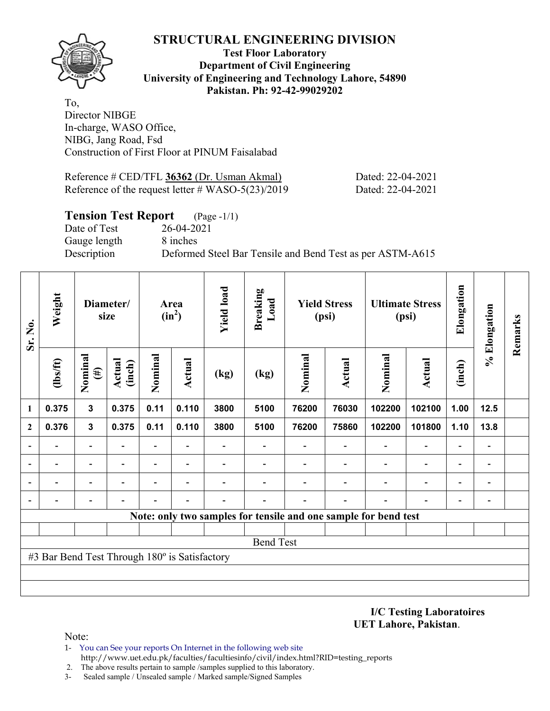

#### **Test Floor Laboratory Department of Civil Engineering University of Engineering and Technology Lahore, 54890 Pakistan. Ph: 92-42-99029202**

To, Director NIBGE In-charge, WASO Office, NIBG, Jang Road, Fsd Construction of First Floor at PINUM Faisalabad

| Reference # CED/TFL 36362 (Dr. Usman Akmal)          |  |
|------------------------------------------------------|--|
| Reference of the request letter $\#$ WASO-5(23)/2019 |  |

### **Tension Test Report** (Page -1/1)

Date of Test 26-04-2021 Gauge length 8 inches

Description Deformed Steel Bar Tensile and Bend Test as per ASTM-A615

| Sr. No.        | Weight                                        |                          | Diameter/<br>size |         | Area<br>$(in^2)$         | <b>Yield load</b> | <b>Breaking</b><br>Load  |         | <b>Yield Stress</b><br>(psi) |                                                                 | <b>Ultimate Stress</b><br>(psi) | Elongation               | % Elongation                 | Remarks |
|----------------|-----------------------------------------------|--------------------------|-------------------|---------|--------------------------|-------------------|--------------------------|---------|------------------------------|-----------------------------------------------------------------|---------------------------------|--------------------------|------------------------------|---------|
|                | $\frac{2}{10}$                                | Nominal<br>$(\#)$        | Actual<br>(inch)  | Nominal | Actual                   | (kg)              | (kg)                     | Nominal | <b>Actual</b>                | Nominal                                                         | <b>Actual</b>                   | (inch)                   |                              |         |
| 1              | 0.375                                         | $\mathbf 3$              | 0.375             | 0.11    | 0.110                    | 3800              | 5100                     | 76200   | 76030                        | 102200                                                          | 102100                          | 1.00                     | $12.5$                       |         |
| $\overline{2}$ | 0.376                                         | $\mathbf{3}$             | 0.375             | 0.11    | 0.110                    | 3800              | 5100                     | 76200   | 75860                        | 102200                                                          | 101800                          | 1.10                     | 13.8                         |         |
|                |                                               | $\overline{\phantom{a}}$ |                   | -       |                          |                   | $\overline{\phantom{0}}$ |         |                              | $\overline{\phantom{0}}$                                        | $\overline{a}$                  |                          | $\qquad \qquad \blacksquare$ |         |
|                |                                               | $\overline{\phantom{0}}$ |                   | -       | $\overline{\phantom{0}}$ |                   |                          |         |                              |                                                                 | $\overline{\phantom{0}}$        | $\overline{\phantom{0}}$ | -                            |         |
|                |                                               | $\overline{\phantom{0}}$ |                   |         |                          |                   |                          |         |                              |                                                                 | ۰                               | $\overline{\phantom{0}}$ | -                            |         |
|                |                                               |                          |                   |         |                          |                   |                          |         |                              |                                                                 |                                 |                          | $\qquad \qquad \blacksquare$ |         |
|                |                                               |                          |                   |         |                          |                   |                          |         |                              | Note: only two samples for tensile and one sample for bend test |                                 |                          |                              |         |
|                |                                               |                          |                   |         |                          |                   |                          |         |                              |                                                                 |                                 |                          |                              |         |
|                |                                               |                          |                   |         |                          |                   | <b>Bend Test</b>         |         |                              |                                                                 |                                 |                          |                              |         |
|                | #3 Bar Bend Test Through 180° is Satisfactory |                          |                   |         |                          |                   |                          |         |                              |                                                                 |                                 |                          |                              |         |
|                |                                               |                          |                   |         |                          |                   |                          |         |                              |                                                                 |                                 |                          |                              |         |
|                |                                               |                          |                   |         |                          |                   |                          |         |                              |                                                                 |                                 |                          |                              |         |

**I/C Testing Laboratoires UET Lahore, Pakistan**.

Dated: 22-04-2021 Dated: 22-04-2021

- 1- You can See your reports On Internet in the following web site http://www.uet.edu.pk/faculties/facultiesinfo/civil/index.html?RID=testing\_reports
- 2. The above results pertain to sample /samples supplied to this laboratory.
- 3- Sealed sample / Unsealed sample / Marked sample/Signed Samples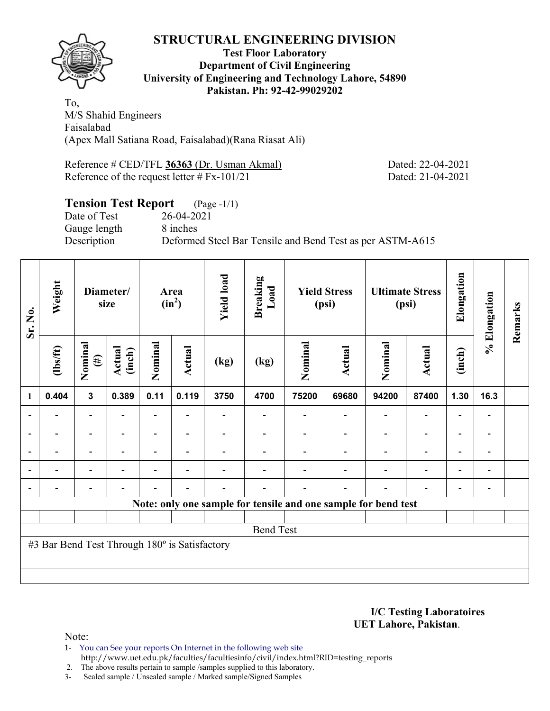

#### **Test Floor Laboratory Department of Civil Engineering University of Engineering and Technology Lahore, 54890 Pakistan. Ph: 92-42-99029202**

To, M/S Shahid Engineers Faisalabad (Apex Mall Satiana Road, Faisalabad)(Rana Riasat Ali)

Reference # CED/TFL **36363** (Dr. Usman Akmal) Dated: 22-04-2021 Reference of the request letter # Fx-101/21 Dated: 21-04-2021

# **Tension Test Report** (Page -1/1) Date of Test 26-04-2021 Gauge length 8 inches Description Deformed Steel Bar Tensile and Bend Test as per ASTM-A615

| Sr. No.        | Weight                                        |                          | Diameter/<br>size        |                          | Area<br>$(in^2)$         | <b>Yield load</b> | <b>Breaking</b><br>Load                                        |         | <b>Yield Stress</b><br>(psi) |                | <b>Ultimate Stress</b><br>(psi) | Elongation               | % Elongation                 | Remarks |
|----------------|-----------------------------------------------|--------------------------|--------------------------|--------------------------|--------------------------|-------------------|----------------------------------------------------------------|---------|------------------------------|----------------|---------------------------------|--------------------------|------------------------------|---------|
|                | $\frac{2}{10}$                                | Nominal<br>$(\#)$        | Actual<br>(inch)         | Nominal                  | Actual                   | (kg)              | (kg)                                                           | Nominal | Actual                       | Nominal        | Actual                          | (inch)                   |                              |         |
| 1              | 0.404                                         | $\mathbf{3}$             | 0.389                    | 0.11                     | 0.119                    | 3750              | 4700                                                           | 75200   | 69680                        | 94200          | 87400                           | 1.30                     | 16.3                         |         |
|                |                                               | Ξ.                       |                          | Ξ.                       |                          |                   |                                                                |         |                              | Ē,             | $\overline{a}$                  | -                        |                              |         |
|                |                                               | $\overline{\phantom{0}}$ | $\overline{\phantom{0}}$ | $\overline{\phantom{0}}$ | $\blacksquare$           |                   |                                                                |         | $\overline{\phantom{0}}$     | $\blacksquare$ | $\overline{\phantom{a}}$        | $\overline{\phantom{a}}$ | $\qquad \qquad \blacksquare$ |         |
| ۰              |                                               | $\overline{\phantom{0}}$ |                          |                          | $\overline{\phantom{a}}$ |                   |                                                                |         |                              |                | $\overline{a}$                  | $\overline{\phantom{0}}$ |                              |         |
| $\overline{a}$ | $\overline{\phantom{0}}$                      | $\overline{\phantom{0}}$ | $\overline{\phantom{0}}$ |                          | $\overline{\phantom{a}}$ |                   |                                                                |         |                              | ٠              | $\overline{\phantom{a}}$        | $\overline{\phantom{a}}$ | $\blacksquare$               |         |
| $\blacksquare$ |                                               | $\overline{\phantom{0}}$ |                          |                          | ۰                        |                   |                                                                |         | ۰                            | ۰              | $\overline{\phantom{0}}$        | $\overline{\phantom{0}}$ | $\blacksquare$               |         |
|                |                                               |                          |                          |                          |                          |                   | Note: only one sample for tensile and one sample for bend test |         |                              |                |                                 |                          |                              |         |
|                |                                               |                          |                          |                          |                          |                   |                                                                |         |                              |                |                                 |                          |                              |         |
|                |                                               |                          |                          |                          |                          |                   | <b>Bend Test</b>                                               |         |                              |                |                                 |                          |                              |         |
|                | #3 Bar Bend Test Through 180° is Satisfactory |                          |                          |                          |                          |                   |                                                                |         |                              |                |                                 |                          |                              |         |
|                |                                               |                          |                          |                          |                          |                   |                                                                |         |                              |                |                                 |                          |                              |         |
|                |                                               |                          |                          |                          |                          |                   |                                                                |         |                              |                |                                 |                          |                              |         |

**I/C Testing Laboratoires UET Lahore, Pakistan**.

Note:

1- You can See your reports On Internet in the following web site http://www.uet.edu.pk/faculties/facultiesinfo/civil/index.html?RID=testing\_reports

2. The above results pertain to sample /samples supplied to this laboratory.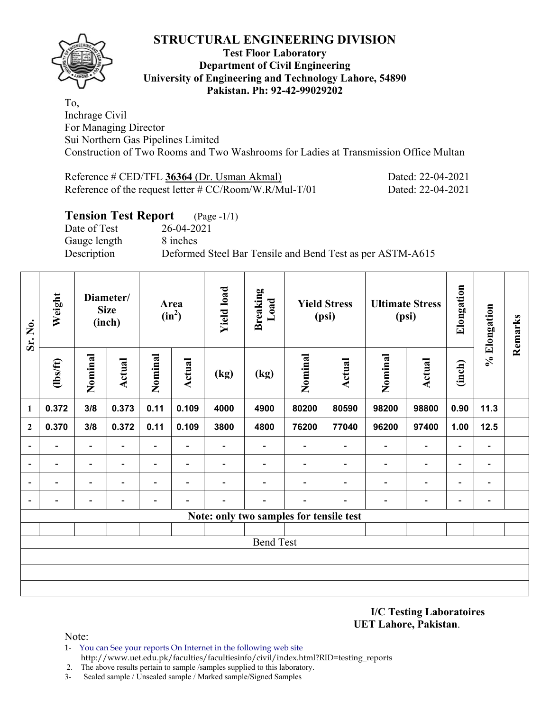

#### **Test Floor Laboratory Department of Civil Engineering University of Engineering and Technology Lahore, 54890 Pakistan. Ph: 92-42-99029202**

To, Inchrage Civil For Managing Director Sui Northern Gas Pipelines Limited Construction of Two Rooms and Two Washrooms for Ladies at Transmission Office Multan

Reference # CED/TFL **36364** (Dr. Usman Akmal) Dated: 22-04-2021 Reference of the request letter # CC/Room/W.R/Mul-T/01 Dated: 22-04-2021

## **Tension Test Report** (Page -1/1)

Date of Test 26-04-2021 Gauge length 8 inches

Description Deformed Steel Bar Tensile and Bend Test as per ASTM-A615

| Sr. No.                  | Weight<br>Diameter/<br><b>Size</b><br>(inch) |                                 |                          |                                  | Area<br>$(in^2)$         | <b>Yield load</b> | <b>Breaking</b><br>Load  |                          | <b>Yield Stress</b><br>(psi) |                          | <b>Ultimate Stress</b><br>(psi) | Elongation               | % Elongation             | Remarks |  |  |  |  |  |  |  |  |
|--------------------------|----------------------------------------------|---------------------------------|--------------------------|----------------------------------|--------------------------|-------------------|--------------------------|--------------------------|------------------------------|--------------------------|---------------------------------|--------------------------|--------------------------|---------|--|--|--|--|--|--|--|--|
|                          | (1bs/ft)                                     | Nominal<br><b>Actual</b><br>3/8 |                          | Nominal<br><b>Actual</b><br>(kg) |                          | (kg)              | Nominal                  | <b>Actual</b>            | Nominal                      | <b>Actual</b>            | (inch)                          |                          |                          |         |  |  |  |  |  |  |  |  |
| $\mathbf{1}$             | 0.372                                        |                                 | 0.373                    | 0.11                             | 0.109                    | 4000              | 4900                     | 80200                    | 80590                        | 98200                    | 98800                           | 0.90                     | 11.3                     |         |  |  |  |  |  |  |  |  |
| $\boldsymbol{2}$         | 0.370                                        | 3/8                             | 0.372                    | 0.11                             | 0.109                    | 3800              | 4800                     | 76200                    | 77040                        | 96200                    | 97400                           | 1.00                     | 12.5                     |         |  |  |  |  |  |  |  |  |
| $\overline{a}$           | $\blacksquare$                               | $\blacksquare$                  | $\blacksquare$           | ۰                                | $\blacksquare$           | Ξ.                | $\blacksquare$           |                          |                              | $\overline{\phantom{a}}$ | $\overline{a}$                  | $\overline{\phantom{a}}$ | $\blacksquare$           |         |  |  |  |  |  |  |  |  |
| $\overline{\phantom{a}}$ | $\overline{\phantom{0}}$                     | $\blacksquare$                  | $\overline{\phantom{a}}$ | $\overline{\phantom{0}}$         | $\overline{\phantom{a}}$ | -                 |                          |                          | $\overline{\phantom{a}}$     | $\overline{\phantom{a}}$ | $\overline{\phantom{a}}$        | $\overline{\phantom{a}}$ | $\overline{\phantom{a}}$ |         |  |  |  |  |  |  |  |  |
| $\overline{\phantom{a}}$ | $\overline{\phantom{0}}$                     | $\overline{\phantom{a}}$        | $\overline{\phantom{a}}$ | $\overline{\phantom{0}}$         | $\blacksquare$           | -                 | $\overline{\phantom{0}}$ | $\overline{\phantom{0}}$ | $\overline{\phantom{0}}$     | $\blacksquare$           | $\overline{\phantom{a}}$        | $\overline{\phantom{a}}$ | $\overline{\phantom{a}}$ |         |  |  |  |  |  |  |  |  |
| $\overline{\phantom{a}}$ | -                                            | $\blacksquare$                  | $\overline{\phantom{0}}$ | $\overline{\phantom{0}}$         | $\blacksquare$           | -                 | $\overline{\phantom{0}}$ |                          | $\overline{\phantom{0}}$     | $\blacksquare$           | $\overline{\phantom{a}}$        | $\blacksquare$           | $\overline{\phantom{a}}$ |         |  |  |  |  |  |  |  |  |
|                          | Note: only two samples for tensile test      |                                 |                          |                                  |                          |                   |                          |                          |                              |                          |                                 |                          |                          |         |  |  |  |  |  |  |  |  |
|                          |                                              |                                 |                          |                                  |                          |                   |                          |                          |                              |                          |                                 |                          |                          |         |  |  |  |  |  |  |  |  |
|                          |                                              |                                 |                          |                                  |                          |                   | <b>Bend Test</b>         |                          |                              |                          |                                 |                          |                          |         |  |  |  |  |  |  |  |  |
|                          |                                              |                                 |                          |                                  |                          |                   |                          |                          |                              |                          |                                 |                          |                          |         |  |  |  |  |  |  |  |  |
|                          |                                              |                                 |                          |                                  |                          |                   |                          |                          |                              |                          |                                 |                          |                          |         |  |  |  |  |  |  |  |  |
|                          |                                              |                                 |                          |                                  |                          |                   |                          |                          |                              |                          |                                 |                          |                          |         |  |  |  |  |  |  |  |  |

**I/C Testing Laboratoires UET Lahore, Pakistan**.

- 1- You can See your reports On Internet in the following web site http://www.uet.edu.pk/faculties/facultiesinfo/civil/index.html?RID=testing\_reports
- 2. The above results pertain to sample /samples supplied to this laboratory.
- 3- Sealed sample / Unsealed sample / Marked sample/Signed Samples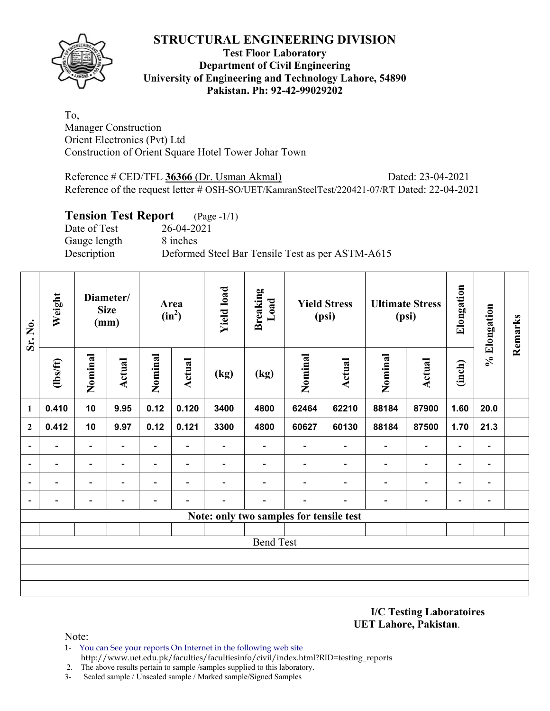

### **Test Floor Laboratory Department of Civil Engineering University of Engineering and Technology Lahore, 54890 Pakistan. Ph: 92-42-99029202**

To, Manager Construction Orient Electronics (Pvt) Ltd Construction of Orient Square Hotel Tower Johar Town

Reference # CED/TFL **36366** (Dr. Usman Akmal) Dated: 23-04-2021 Reference of the request letter # OSH-SO/UET/KamranSteelTest/220421-07/RT Dated: 22-04-2021

## **Tension Test Report** (Page -1/1)

Date of Test 26-04-2021 Gauge length 8 inches Description Deformed Steel Bar Tensile Test as per ASTM-A615

| Sr. No.                  | Weight                   |                          | Diameter/<br><b>Size</b><br>(mm) |                          | Area<br>$(in^2)$         | <b>Yield load</b>        | <b>Breaking</b><br>Load                 |                          | <b>Yield Stress</b><br>(psi) |                              | <b>Ultimate Stress</b><br>(psi) | Elongation               | % Elongation             | Remarks |
|--------------------------|--------------------------|--------------------------|----------------------------------|--------------------------|--------------------------|--------------------------|-----------------------------------------|--------------------------|------------------------------|------------------------------|---------------------------------|--------------------------|--------------------------|---------|
|                          | $\frac{2}{10}$           | Nominal                  | Actual                           | Nominal                  | <b>Actual</b>            | (kg)                     | (kg)                                    | Nominal                  | <b>Actual</b>                | Nominal                      | <b>Actual</b>                   | (inch)                   |                          |         |
| $\mathbf{1}$             | 0.410                    | 10                       | 9.95                             | 0.12                     | 0.120                    | 3400                     | 4800                                    | 62464                    | 62210                        | 88184                        | 87900                           | 1.60                     | 20.0                     |         |
| $\mathbf{2}$             | 0.412                    | 10                       | 9.97                             | 0.12                     | 0.121                    | 3300                     | 4800                                    | 60627                    | 60130                        | 88184                        | 87500                           | 1.70                     | 21.3                     |         |
| $\overline{\phantom{a}}$ | $\overline{\phantom{0}}$ | $\overline{\phantom{a}}$ | $\overline{\phantom{a}}$         | $\overline{\phantom{a}}$ | $\overline{\phantom{a}}$ |                          |                                         | $\overline{\phantom{a}}$ | $\blacksquare$               | $\qquad \qquad \blacksquare$ | $\overline{\phantom{a}}$        | $\overline{\phantom{a}}$ | $\blacksquare$           |         |
| $\overline{\phantom{a}}$ | ۰                        | $\blacksquare$           | $\overline{\phantom{0}}$         | $\blacksquare$           | $\overline{\phantom{a}}$ |                          |                                         | $\blacksquare$           | $\overline{\phantom{0}}$     | $\overline{\phantom{0}}$     | $\overline{\phantom{a}}$        | $\overline{\phantom{a}}$ | $\blacksquare$           |         |
| $\overline{\phantom{a}}$ | $\overline{\phantom{a}}$ | $\blacksquare$           | $\blacksquare$                   | -                        | $\overline{\phantom{a}}$ | $\overline{\phantom{0}}$ |                                         | $\overline{\phantom{a}}$ | $\blacksquare$               | $\overline{\phantom{a}}$     | $\overline{\phantom{a}}$        | $\overline{\phantom{a}}$ | $\overline{\phantom{a}}$ |         |
| $\overline{\phantom{a}}$ | $\overline{\phantom{0}}$ | $\overline{\phantom{0}}$ | $\overline{\phantom{0}}$         | $\overline{\phantom{0}}$ | $\overline{\phantom{0}}$ |                          | ۰                                       | $\overline{\phantom{0}}$ | $\overline{\phantom{0}}$     | $\overline{\phantom{0}}$     | $\overline{\phantom{a}}$        | $\overline{\phantom{a}}$ | $\overline{\phantom{a}}$ |         |
|                          |                          |                          |                                  |                          |                          |                          | Note: only two samples for tensile test |                          |                              |                              |                                 |                          |                          |         |
|                          |                          |                          |                                  |                          |                          |                          |                                         |                          |                              |                              |                                 |                          |                          |         |
|                          |                          |                          |                                  |                          |                          |                          | <b>Bend Test</b>                        |                          |                              |                              |                                 |                          |                          |         |
|                          |                          |                          |                                  |                          |                          |                          |                                         |                          |                              |                              |                                 |                          |                          |         |
|                          |                          |                          |                                  |                          |                          |                          |                                         |                          |                              |                              |                                 |                          |                          |         |
|                          |                          |                          |                                  |                          |                          |                          |                                         |                          |                              |                              |                                 |                          |                          |         |

**I/C Testing Laboratoires UET Lahore, Pakistan**.

- 1- You can See your reports On Internet in the following web site http://www.uet.edu.pk/faculties/facultiesinfo/civil/index.html?RID=testing\_reports
- 2. The above results pertain to sample /samples supplied to this laboratory.
- 3- Sealed sample / Unsealed sample / Marked sample/Signed Samples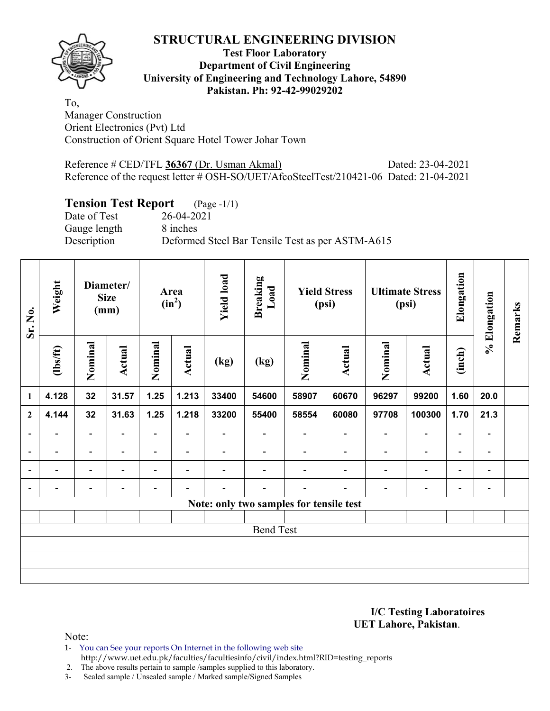

### **Test Floor Laboratory Department of Civil Engineering University of Engineering and Technology Lahore, 54890 Pakistan. Ph: 92-42-99029202**

To, Manager Construction Orient Electronics (Pvt) Ltd Construction of Orient Square Hotel Tower Johar Town

| Reference # CED/TFL 36367 (Dr. Usman Akmal)                                            | Dated: 23-04-2021 |
|----------------------------------------------------------------------------------------|-------------------|
| Reference of the request letter # OSH-SO/UET/AfcoSteelTest/210421-06 Dated: 21-04-2021 |                   |

# **Tension Test Report** (Page -1/1)

Gauge length 8 inches

Date of Test 26-04-2021 Description Deformed Steel Bar Tensile Test as per ASTM-A615

| Sr. No.                  | Weight         |                          | Diameter/<br><b>Size</b><br>(mm) |                | Area<br>$(in^2)$         | <b>Yield load</b> | <b>Breaking</b><br>Load  |                                         | <b>Yield Stress</b><br>(psi) |                          | <b>Ultimate Stress</b><br>(psi) | Elongation               | % Elongation                 | Remarks |
|--------------------------|----------------|--------------------------|----------------------------------|----------------|--------------------------|-------------------|--------------------------|-----------------------------------------|------------------------------|--------------------------|---------------------------------|--------------------------|------------------------------|---------|
|                          | $\frac{2}{10}$ | Nominal                  | Actual                           | Nominal        | <b>Actual</b>            | (kg)              | (kg)                     | Nominal                                 | Actual                       | Nominal                  | Actual                          | (inch)                   |                              |         |
| $\mathbf{1}$             | 4.128          | 32                       | 31.57                            | 1.25           | 1.213                    | 33400             | 54600                    | 58907                                   | 60670                        | 96297                    | 99200                           | 1.60                     | 20.0                         |         |
| $\overline{2}$           | 4.144          | 32                       | 31.63                            | 1.25           | 1.218                    | 33200             | 55400                    | 58554                                   | 60080                        | 97708                    | 100300                          | 1.70                     | 21.3                         |         |
| $\blacksquare$           | Ξ.             | $\overline{\phantom{a}}$ | $\blacksquare$                   | $\blacksquare$ | $\blacksquare$           | Ξ.                | $\overline{\phantom{0}}$ | $\blacksquare$                          | $\overline{\phantom{a}}$     | $\overline{\phantom{a}}$ | $\blacksquare$                  | $\overline{\phantom{a}}$ | $\overline{\phantom{a}}$     |         |
| $\overline{a}$           | -              | -                        |                                  | -              | $\overline{\phantom{0}}$ |                   |                          |                                         |                              | ٠                        | -                               | -                        | $\overline{\phantom{a}}$     |         |
| $\overline{\phantom{a}}$ |                | $\overline{\phantom{0}}$ |                                  | $\overline{a}$ | $\overline{\phantom{a}}$ |                   |                          |                                         |                              | $\blacksquare$           | $\overline{\phantom{0}}$        | $\overline{\phantom{0}}$ | $\qquad \qquad \blacksquare$ |         |
| $\overline{\phantom{a}}$ | -              | -                        |                                  |                |                          |                   |                          |                                         |                              |                          | $\overline{a}$                  | $\overline{\phantom{0}}$ | $\qquad \qquad \blacksquare$ |         |
|                          |                |                          |                                  |                |                          |                   |                          | Note: only two samples for tensile test |                              |                          |                                 |                          |                              |         |
|                          |                |                          |                                  |                |                          |                   |                          |                                         |                              |                          |                                 |                          |                              |         |
|                          |                |                          |                                  |                |                          |                   | <b>Bend Test</b>         |                                         |                              |                          |                                 |                          |                              |         |
|                          |                |                          |                                  |                |                          |                   |                          |                                         |                              |                          |                                 |                          |                              |         |
|                          |                |                          |                                  |                |                          |                   |                          |                                         |                              |                          |                                 |                          |                              |         |
|                          |                |                          |                                  |                |                          |                   |                          |                                         |                              |                          |                                 |                          |                              |         |

**I/C Testing Laboratoires UET Lahore, Pakistan**.

Note:

1- You can See your reports On Internet in the following web site http://www.uet.edu.pk/faculties/facultiesinfo/civil/index.html?RID=testing\_reports

2. The above results pertain to sample /samples supplied to this laboratory.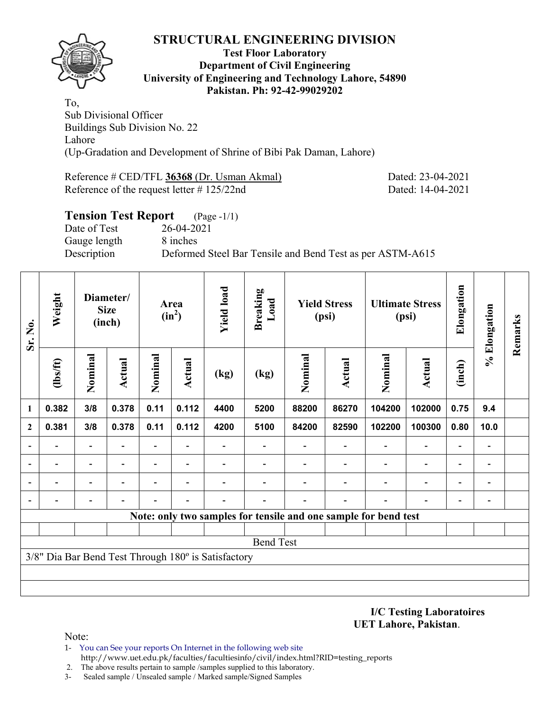

#### **Test Floor Laboratory Department of Civil Engineering University of Engineering and Technology Lahore, 54890 Pakistan. Ph: 92-42-99029202**

To, Sub Divisional Officer Buildings Sub Division No. 22 Lahore (Up-Gradation and Development of Shrine of Bibi Pak Daman, Lahore)

Reference # CED/TFL **36368** (Dr. Usman Akmal) Dated: 23-04-2021 Reference of the request letter # 125/22nd Dated: 14-04-2021

# **Tension Test Report** (Page -1/1) Date of Test 26-04-2021 Gauge length 8 inches Description Deformed Steel Bar Tensile and Bend Test as per ASTM-A615

| Sr. No.      | Weight         |                          | Diameter/<br><b>Size</b><br>(inch) |                          | Area<br>$(in^2)$         | <b>Yield load</b>                                   | <b>Breaking</b><br>Load                                         |                          | <b>Yield Stress</b><br>(psi) |                          | <b>Ultimate Stress</b><br>(psi) | Elongation               | % Elongation             | Remarks |
|--------------|----------------|--------------------------|------------------------------------|--------------------------|--------------------------|-----------------------------------------------------|-----------------------------------------------------------------|--------------------------|------------------------------|--------------------------|---------------------------------|--------------------------|--------------------------|---------|
|              | $lbsft$        | Nominal                  | Actual                             | Nominal                  | Actual                   | (kg)                                                | (kg)                                                            | Nominal                  | Actual                       |                          | Actual                          | (inch)                   |                          |         |
| 1            | 0.382          | 3/8                      | 0.378                              | 0.11                     | 0.112                    | 4400                                                | 5200                                                            | 88200                    | 86270                        | 104200                   | 102000                          | 0.75                     | 9.4                      |         |
| $\mathbf{2}$ | 0.381          | 3/8                      | 0.378                              | 0.11                     | 0.112                    | 4200                                                | 5100                                                            | 84200                    | 82590                        | 102200                   | 100300                          | 0.80                     | 10.0                     |         |
|              |                |                          |                                    | $\overline{\phantom{0}}$ |                          |                                                     |                                                                 |                          |                              |                          |                                 | -                        |                          |         |
|              | $\blacksquare$ | $\overline{\phantom{0}}$ |                                    | -                        | $\overline{\phantom{0}}$ | $\overline{\phantom{0}}$                            | $\overline{\phantom{0}}$                                        | $\overline{\phantom{0}}$ | $\overline{\phantom{a}}$     | $\overline{\phantom{0}}$ | $\overline{a}$                  | $\overline{\phantom{a}}$ | $\overline{\phantom{0}}$ |         |
|              |                |                          |                                    |                          |                          |                                                     |                                                                 |                          |                              |                          | $\qquad \qquad \blacksquare$    | -                        |                          |         |
|              |                |                          |                                    |                          |                          |                                                     |                                                                 |                          |                              |                          |                                 | $\overline{\phantom{0}}$ |                          |         |
|              |                |                          |                                    |                          |                          |                                                     | Note: only two samples for tensile and one sample for bend test |                          |                              |                          |                                 |                          |                          |         |
|              |                |                          |                                    |                          |                          |                                                     |                                                                 |                          |                              |                          |                                 |                          |                          |         |
|              |                |                          |                                    |                          |                          |                                                     | <b>Bend Test</b>                                                |                          |                              |                          |                                 |                          |                          |         |
|              |                |                          |                                    |                          |                          | 3/8" Dia Bar Bend Test Through 180° is Satisfactory |                                                                 |                          |                              |                          |                                 |                          |                          |         |
|              |                |                          |                                    |                          |                          |                                                     |                                                                 |                          |                              |                          |                                 |                          |                          |         |
|              |                |                          |                                    |                          |                          |                                                     |                                                                 |                          |                              |                          |                                 |                          |                          |         |

**I/C Testing Laboratoires UET Lahore, Pakistan**.

- 1- You can See your reports On Internet in the following web site http://www.uet.edu.pk/faculties/facultiesinfo/civil/index.html?RID=testing\_reports
- 2. The above results pertain to sample /samples supplied to this laboratory.
- 3- Sealed sample / Unsealed sample / Marked sample/Signed Samples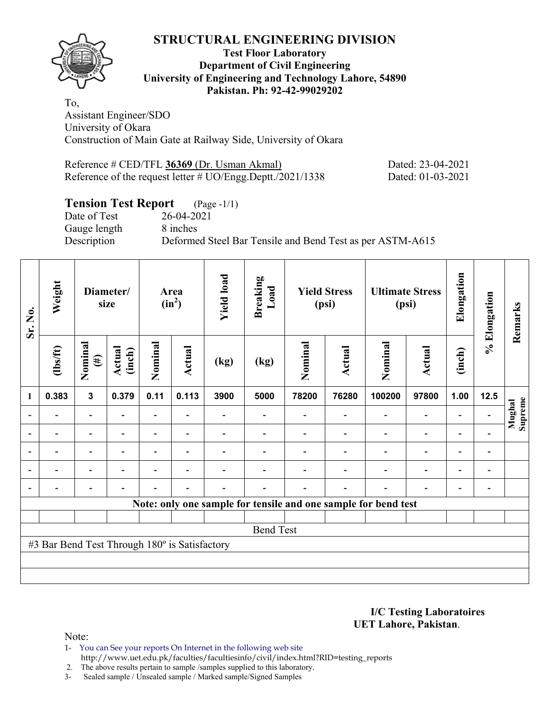

#### **Test Floor Laboratory Department of Civil Engineering University of Engineering and Technology Lahore, 54890 Pakistan. Ph: 92-42-99029202**

To, Assistant Engineer/SDO University of Okara Construction of Main Gate at Railway Side, University of Okara

Reference # CED/TFL **36369** (Dr. Usman Akmal) Dated: 23-04-2021 Reference of the request letter # UO/Engg.Deptt./2021/1338 Dated: 01-03-2021

# **Tension Test Report** (Page -1/1)

Date of Test 26-04-2021 Gauge length 8 inches

Description Deformed Steel Bar Tensile and Bend Test as per ASTM-A615

| Sr. No. | Weight                                        |                          | Diameter/<br>size |                          | Area<br>$(in^2)$         | <b>Yield load</b> | <b>Breaking</b><br>Load |         | <b>Yield Stress</b><br>(psi) |                                                                | <b>Ultimate Stress</b><br>(psi) | Elongation               | % Elongation                 | Remarks           |
|---------|-----------------------------------------------|--------------------------|-------------------|--------------------------|--------------------------|-------------------|-------------------------|---------|------------------------------|----------------------------------------------------------------|---------------------------------|--------------------------|------------------------------|-------------------|
|         | $\frac{2}{10}$                                | Nominal<br>$(\#)$        | Actual<br>(inch)  | Nominal                  | Actual                   | (kg)              | (kg)                    | Nominal | Actual                       | Nominal                                                        | Actual                          | (inch)                   |                              |                   |
| 1       | 0.383                                         | $\mathbf{3}$             | 0.379             | 0.11                     | 0.113                    | 3900              | 5000                    | 78200   | 76280                        | 100200                                                         | 97800                           | 1.00                     | 12.5                         |                   |
|         |                                               |                          |                   | $\overline{\phantom{0}}$ |                          |                   |                         |         |                              |                                                                | $\qquad \qquad \blacksquare$    | -                        |                              | Supreme<br>Mughal |
|         |                                               |                          |                   |                          |                          |                   |                         |         |                              | $\overline{\phantom{0}}$                                       | $\overline{a}$                  |                          |                              |                   |
|         | ۰                                             | $\overline{\phantom{0}}$ |                   |                          | $\overline{\phantom{0}}$ |                   |                         |         |                              |                                                                | $\overline{\phantom{0}}$        | $\overline{\phantom{0}}$ | $\overline{\phantom{0}}$     |                   |
|         | $\blacksquare$                                | $\overline{\phantom{0}}$ |                   |                          | ۰                        |                   |                         |         |                              | ۰                                                              | $\overline{\phantom{0}}$        | $\overline{\phantom{0}}$ | $\blacksquare$               |                   |
|         | $\overline{\phantom{0}}$                      | $\overline{\phantom{0}}$ |                   |                          | $\overline{\phantom{0}}$ |                   |                         |         | $\blacksquare$               | ٠                                                              | $\overline{\phantom{0}}$        | $\overline{\phantom{a}}$ | $\qquad \qquad \blacksquare$ |                   |
|         |                                               |                          |                   |                          |                          |                   |                         |         |                              | Note: only one sample for tensile and one sample for bend test |                                 |                          |                              |                   |
|         |                                               |                          |                   |                          |                          |                   |                         |         |                              |                                                                |                                 |                          |                              |                   |
|         |                                               |                          |                   |                          |                          |                   | <b>Bend Test</b>        |         |                              |                                                                |                                 |                          |                              |                   |
|         | #3 Bar Bend Test Through 180° is Satisfactory |                          |                   |                          |                          |                   |                         |         |                              |                                                                |                                 |                          |                              |                   |
|         |                                               |                          |                   |                          |                          |                   |                         |         |                              |                                                                |                                 |                          |                              |                   |
|         |                                               |                          |                   |                          |                          |                   |                         |         |                              |                                                                |                                 |                          |                              |                   |

**I/C Testing Laboratoires UET Lahore, Pakistan**.

Note:

1- You can See your reports On Internet in the following web site http://www.uet.edu.pk/faculties/facultiesinfo/civil/index.html?RID=testing\_reports

2. The above results pertain to sample /samples supplied to this laboratory.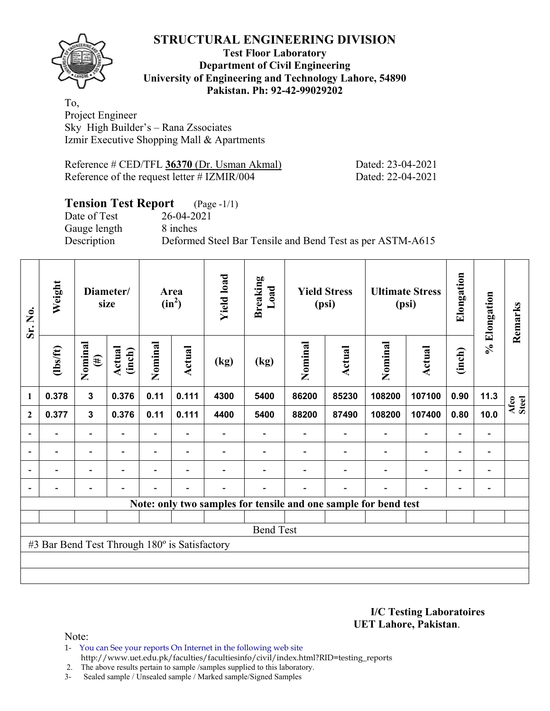

#### **Test Floor Laboratory Department of Civil Engineering University of Engineering and Technology Lahore, 54890 Pakistan. Ph: 92-42-99029202**

To, Project Engineer Sky High Builder's – Rana Zssociates Izmir Executive Shopping Mall & Apartments

| Reference # CED/TFL 36370 (Dr. Usman Akmal)    |  |  |
|------------------------------------------------|--|--|
| Reference of the request letter $\#$ IZMIR/004 |  |  |

Dated: 23-04-2021 Dated: 22-04-2021

# **Tension Test Report** (Page -1/1)

Date of Test 26-04-2021 Gauge length 8 inches

Description Deformed Steel Bar Tensile and Bend Test as per ASTM-A615

| Sr. No.                  | Weight                                        |                   | Diameter/<br>size        |                          | Area<br>$(in^2)$ | <b>Yield load</b> | <b>Breaking</b><br>Load |         | <b>Yield Stress</b><br>(psi) |                                                                 | <b>Ultimate Stress</b><br>(psi) | Elongation               | % Elongation             | Remarks       |
|--------------------------|-----------------------------------------------|-------------------|--------------------------|--------------------------|------------------|-------------------|-------------------------|---------|------------------------------|-----------------------------------------------------------------|---------------------------------|--------------------------|--------------------------|---------------|
|                          | $\frac{2}{10}$                                | Nominal<br>$(\#)$ | Actual<br>(inch)         | Nominal                  | <b>Actual</b>    | (kg)              | (kg)                    | Nominal | Actual                       | Nominal                                                         | Actual                          | (inch)                   |                          |               |
| $\mathbf{1}$             | 0.378                                         | 3                 | 0.376                    | 0.11                     | 0.111            | 4300              | 5400                    | 86200   | 85230                        | 108200                                                          | 107100                          | 0.90                     | 11.3                     | Afco<br>Steel |
| $\mathbf{2}$             | 0.377                                         | $\mathbf{3}$      | 0.376                    | 0.11                     | 0.111            | 4400              | 5400                    | 88200   | 87490                        | 108200                                                          | 107400                          | 0.80                     | 10.0                     |               |
|                          |                                               | $\overline{a}$    |                          |                          |                  |                   |                         |         |                              |                                                                 | $\overline{\phantom{0}}$        | -                        |                          |               |
| $\overline{\phantom{a}}$ | $\overline{\phantom{0}}$                      | $\blacksquare$    | $\overline{\phantom{0}}$ | $\overline{\phantom{0}}$ | $\blacksquare$   |                   |                         |         | $\overline{\phantom{a}}$     | $\overline{\phantom{a}}$                                        | $\overline{\phantom{a}}$        | $\overline{\phantom{a}}$ | $\blacksquare$           |               |
| $\blacksquare$           | $\blacksquare$                                | $\blacksquare$    | ۰                        | $\blacksquare$           | $\blacksquare$   |                   |                         |         |                              | $\overline{\phantom{0}}$                                        | $\overline{\phantom{0}}$        | $\overline{\phantom{0}}$ | $\blacksquare$           |               |
| $\blacksquare$           | $\overline{a}$                                | -                 | $\blacksquare$           | $\blacksquare$           | $\blacksquare$   | $\overline{a}$    |                         |         | $\blacksquare$               | ۰                                                               | $\overline{a}$                  | $\overline{\phantom{a}}$ | $\overline{\phantom{0}}$ |               |
|                          |                                               |                   |                          |                          |                  |                   |                         |         |                              | Note: only two samples for tensile and one sample for bend test |                                 |                          |                          |               |
|                          |                                               |                   |                          |                          |                  |                   |                         |         |                              |                                                                 |                                 |                          |                          |               |
|                          |                                               |                   |                          |                          |                  |                   | <b>Bend Test</b>        |         |                              |                                                                 |                                 |                          |                          |               |
|                          | #3 Bar Bend Test Through 180° is Satisfactory |                   |                          |                          |                  |                   |                         |         |                              |                                                                 |                                 |                          |                          |               |
|                          |                                               |                   |                          |                          |                  |                   |                         |         |                              |                                                                 |                                 |                          |                          |               |
|                          |                                               |                   |                          |                          |                  |                   |                         |         |                              |                                                                 |                                 |                          |                          |               |

**I/C Testing Laboratoires UET Lahore, Pakistan**.

Note:

1- You can See your reports On Internet in the following web site http://www.uet.edu.pk/faculties/facultiesinfo/civil/index.html?RID=testing\_reports

2. The above results pertain to sample /samples supplied to this laboratory.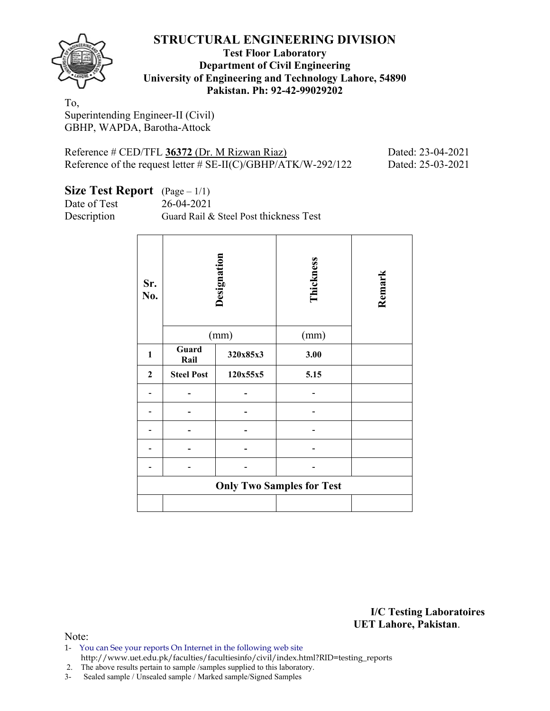

#### **Test Floor Laboratory Department of Civil Engineering University of Engineering and Technology Lahore, 54890 Pakistan. Ph: 92-42-99029202**

To, Superintending Engineer-II (Civil) GBHP, WAPDA, Barotha-Attock

| Reference # CED/TFL 36372 (Dr. M Rizwan Riaz)                    |  |
|------------------------------------------------------------------|--|
| Reference of the request letter $\#$ SE-II(C)/GBHP/ATK/W-292/122 |  |

Dated: 23-04-2021 Pated: 25-03-2021

| Size Test Report $(Page-1/1)$ |  |  |
|-------------------------------|--|--|
|-------------------------------|--|--|

Date of Test 26-04-2021

Description Guard Rail & Steel Post thickness Test

| Sr.<br>No.       |                   | Designation<br>(mm) | Thickness<br>(mm)                | Remark |
|------------------|-------------------|---------------------|----------------------------------|--------|
| $\mathbf{1}$     | Guard             | 320x85x3            | 3.00                             |        |
|                  | Rail              |                     |                                  |        |
| $\boldsymbol{2}$ | <b>Steel Post</b> | 120x55x5            | 5.15                             |        |
|                  |                   |                     |                                  |        |
|                  |                   |                     |                                  |        |
|                  |                   |                     |                                  |        |
|                  |                   |                     |                                  |        |
|                  |                   |                     |                                  |        |
|                  |                   |                     | <b>Only Two Samples for Test</b> |        |
|                  |                   |                     |                                  |        |

**I/C Testing Laboratoires UET Lahore, Pakistan**.

Note:

1- You can See your reports On Internet in the following web site http://www.uet.edu.pk/faculties/facultiesinfo/civil/index.html?RID=testing\_reports

2. The above results pertain to sample /samples supplied to this laboratory.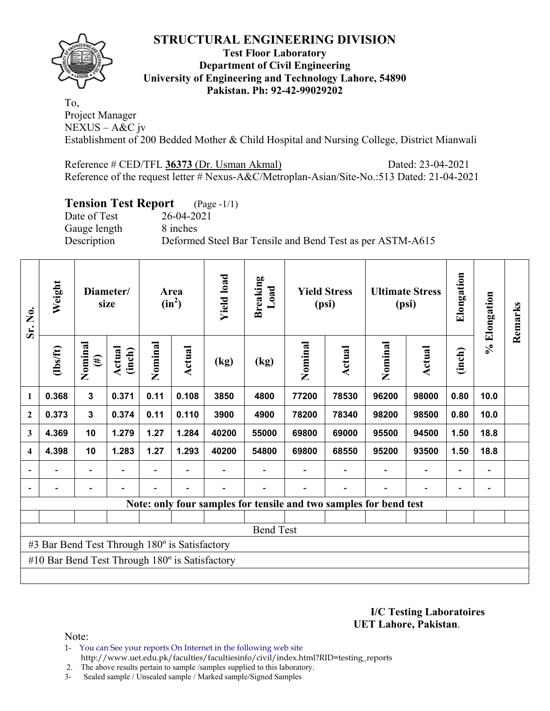

#### **Test Floor Laboratory Department of Civil Engineering University of Engineering and Technology Lahore, 54890 Pakistan. Ph: 92-42-99029202**

To, Project Manager NEXUS – A&C jv Establishment of 200 Bedded Mother & Child Hospital and Nursing College, District Mianwali

Reference # CED/TFL **36373** (Dr. Usman Akmal) Dated: 23-04-2021 Reference of the request letter # Nexus-A&C/Metroplan-Asian/Site-No.:513 Dated: 21-04-2021

# **Tension Test Report** (Page -1/1)

Gauge length 8 inches

Date of Test 26-04-2021 Description Deformed Steel Bar Tensile and Bend Test as per ASTM-A615

| Sr. No.                 | Weight                                         |                          | Diameter/<br>size |         | Area<br>$(in^2)$         | <b>Yield load</b> | <b>Breaking</b><br>Load | <b>Yield Stress</b><br>(psi) |                                                                   |         | <b>Ultimate Stress</b><br>(psi) |                          | % Elongation | Remarks |
|-------------------------|------------------------------------------------|--------------------------|-------------------|---------|--------------------------|-------------------|-------------------------|------------------------------|-------------------------------------------------------------------|---------|---------------------------------|--------------------------|--------------|---------|
|                         | (1bs/ft)                                       | Nominal<br>$(\#)$        | Actual<br>(inch)  | Nominal | Actual                   | (kg)              | (kg)                    | Nominal                      | Actual                                                            | Nominal | Actual                          | (inch)                   |              |         |
| 1                       | 0.368                                          | $\mathbf{3}$             | 0.371             | 0.11    | 0.108                    | 3850              | 4800                    | 77200                        | 78530                                                             | 96200   | 98000                           | 0.80                     | 10.0         |         |
| $\boldsymbol{2}$        | 0.373                                          | $\mathbf{3}$             | 0.374             | 0.11    | 0.110                    | 3900              | 4900                    | 78200                        | 78340                                                             | 98200   | 98500                           | 0.80                     | 10.0         |         |
| 3                       | 4.369                                          | 10                       | 1.279             | 1.27    | 1.284                    | 40200             | 55000                   | 69800                        | 69000                                                             | 95500   | 94500                           | 1.50                     | 18.8         |         |
| $\overline{\mathbf{4}}$ | 4.398                                          | 10                       | 1.283             | 1.27    | 1.293                    | 40200             | 54800                   | 69800                        | 68550                                                             | 95200   | 93500                           | 1.50                     | 18.8         |         |
|                         |                                                | $\overline{\phantom{a}}$ |                   | Ξ.      | $\overline{\phantom{a}}$ |                   |                         |                              |                                                                   |         |                                 | $\overline{\phantom{a}}$ |              |         |
|                         |                                                |                          |                   |         |                          |                   |                         |                              |                                                                   |         |                                 |                          |              |         |
|                         |                                                |                          |                   |         |                          |                   |                         |                              | Note: only four samples for tensile and two samples for bend test |         |                                 |                          |              |         |
|                         |                                                |                          |                   |         |                          |                   |                         |                              |                                                                   |         |                                 |                          |              |         |
|                         |                                                |                          |                   |         |                          |                   | <b>Bend Test</b>        |                              |                                                                   |         |                                 |                          |              |         |
|                         | #3 Bar Bend Test Through 180° is Satisfactory  |                          |                   |         |                          |                   |                         |                              |                                                                   |         |                                 |                          |              |         |
|                         | #10 Bar Bend Test Through 180° is Satisfactory |                          |                   |         |                          |                   |                         |                              |                                                                   |         |                                 |                          |              |         |
|                         |                                                |                          |                   |         |                          |                   |                         |                              |                                                                   |         |                                 |                          |              |         |

**I/C Testing Laboratoires UET Lahore, Pakistan**.

Note:

- 1- You can See your reports On Internet in the following web site http://www.uet.edu.pk/faculties/facultiesinfo/civil/index.html?RID=testing\_reports
- 2. The above results pertain to sample /samples supplied to this laboratory.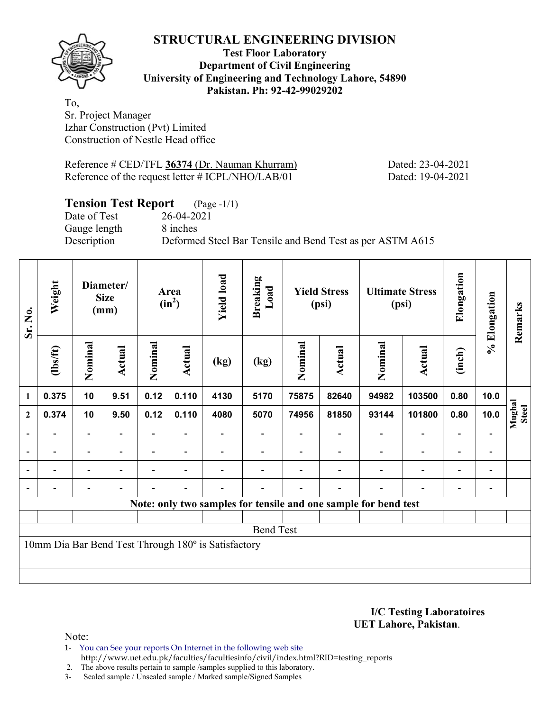**Test Floor Laboratory Department of Civil Engineering University of Engineering and Technology Lahore, 54890 Pakistan. Ph: 92-42-99029202** 

To, Sr. Project Manager Izhar Construction (Pvt) Limited Construction of Nestle Head office

Reference # CED/TFL **36374** (Dr. Nauman Khurram) Dated: 23-04-2021 Reference of the request letter # ICPL/NHO/LAB/01 Dated: 19-04-2021

# **Tension Test Report** (Page -1/1)

Date of Test 26-04-2021 Gauge length 8 inches

Description Deformed Steel Bar Tensile and Bend Test as per ASTM A615

| Sr. No.                  | Weight         | Diameter/<br><b>Size</b><br>(mm) |                          | <b>Yield load</b><br>Area<br>$(in^2)$ |                          | <b>Breaking</b><br>Load                             |                          | <b>Yield Stress</b><br><b>Ultimate Stress</b><br>(psi)<br>(psi) |        |                                                                 |                          | Elongation | % Elongation             | Remarks         |
|--------------------------|----------------|----------------------------------|--------------------------|---------------------------------------|--------------------------|-----------------------------------------------------|--------------------------|-----------------------------------------------------------------|--------|-----------------------------------------------------------------|--------------------------|------------|--------------------------|-----------------|
|                          | (1bs/ft)       | Nominal                          | Actual                   | Nominal                               | <b>Actual</b>            | (kg)                                                | (kg)                     | Nominal                                                         | Actual | Nominal                                                         | Actual                   | (inch)     |                          |                 |
| $\mathbf{1}$             | 0.375          | 10                               | 9.51                     | 0.12                                  | 0.110                    | 4130                                                | 5170                     | 75875                                                           | 82640  | 94982                                                           | 103500                   | 0.80       | 10.0                     |                 |
| $\mathbf{2}$             | 0.374          | 10                               | 9.50                     | 0.12                                  | 0.110                    | 4080                                                | 5070                     | 74956                                                           | 81850  | 93144                                                           | 101800                   | 0.80       | 10.0                     | Mughal<br>Steel |
| $\overline{\phantom{a}}$ |                |                                  |                          |                                       |                          |                                                     | $\overline{\phantom{0}}$ |                                                                 |        |                                                                 |                          |            |                          |                 |
| $\blacksquare$           |                |                                  | $\overline{\phantom{a}}$ |                                       | $\overline{\phantom{a}}$ |                                                     |                          | $\blacksquare$                                                  |        |                                                                 |                          |            | $\blacksquare$           |                 |
|                          | $\blacksquare$ |                                  | $\overline{\phantom{0}}$ |                                       | $\overline{\phantom{0}}$ |                                                     |                          |                                                                 |        |                                                                 | $\overline{\phantom{0}}$ | ۳          | $\overline{\phantom{0}}$ |                 |
|                          |                |                                  | $\overline{\phantom{0}}$ |                                       | $\overline{\phantom{0}}$ |                                                     |                          |                                                                 |        |                                                                 |                          |            | $\overline{\phantom{0}}$ |                 |
|                          |                |                                  |                          |                                       |                          |                                                     |                          |                                                                 |        | Note: only two samples for tensile and one sample for bend test |                          |            |                          |                 |
|                          |                |                                  |                          |                                       |                          |                                                     |                          |                                                                 |        |                                                                 |                          |            |                          |                 |
|                          |                |                                  |                          |                                       |                          |                                                     | <b>Bend Test</b>         |                                                                 |        |                                                                 |                          |            |                          |                 |
|                          |                |                                  |                          |                                       |                          | 10mm Dia Bar Bend Test Through 180° is Satisfactory |                          |                                                                 |        |                                                                 |                          |            |                          |                 |
|                          |                |                                  |                          |                                       |                          |                                                     |                          |                                                                 |        |                                                                 |                          |            |                          |                 |
|                          |                |                                  |                          |                                       |                          |                                                     |                          |                                                                 |        |                                                                 |                          |            |                          |                 |

**I/C Testing Laboratoires UET Lahore, Pakistan**.

Note:

1- You can See your reports On Internet in the following web site http://www.uet.edu.pk/faculties/facultiesinfo/civil/index.html?RID=testing\_reports

2. The above results pertain to sample /samples supplied to this laboratory.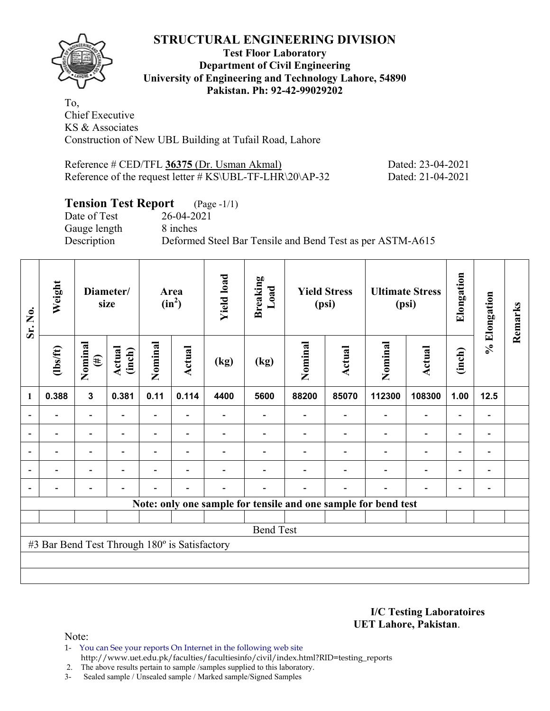

#### **Test Floor Laboratory Department of Civil Engineering University of Engineering and Technology Lahore, 54890 Pakistan. Ph: 92-42-99029202**

To, Chief Executive KS & Associates Construction of New UBL Building at Tufail Road, Lahore

| Reference # CED/TFL 36375 (Dr. Usman Akmal)                 | Dated: 23-04-2021 |
|-------------------------------------------------------------|-------------------|
| Reference of the request letter $\#$ KS\UBL-TF-LHR\20\AP-32 | Dated: 21-04-2021 |

# **Tension Test Report** (Page -1/1)

Date of Test 26-04-2021 Gauge length 8 inches

Description Deformed Steel Bar Tensile and Bend Test as per ASTM-A615

| Sr. No.        | Weight                                        | Diameter/<br>size        |                  |                |                          |      |                  |         |               |                                                                |                          |                          |                |  |  |  |  |  | Area<br>$(in^2)$ | <b>Yield load</b> | <b>Breaking</b><br>Load |  | <b>Yield Stress</b><br>(psi) |  | <b>Ultimate Stress</b><br>(psi) | Elongation | % Elongation | Remarks |
|----------------|-----------------------------------------------|--------------------------|------------------|----------------|--------------------------|------|------------------|---------|---------------|----------------------------------------------------------------|--------------------------|--------------------------|----------------|--|--|--|--|--|------------------|-------------------|-------------------------|--|------------------------------|--|---------------------------------|------------|--------------|---------|
|                | $\frac{2}{10}$                                | Nominal<br>$(\#)$        | Actual<br>(inch) | Nominal        | Actual                   | (kg) | (kg)             | Nominal | <b>Actual</b> | Nominal                                                        | Actual                   | (inch)                   |                |  |  |  |  |  |                  |                   |                         |  |                              |  |                                 |            |              |         |
| 1              | 0.388                                         | $\mathbf{3}$             | 0.381            | 0.11           | 0.114                    | 4400 | 5600             | 88200   | 85070         | 112300                                                         | 108300                   | 1.00                     | 12.5           |  |  |  |  |  |                  |                   |                         |  |                              |  |                                 |            |              |         |
|                |                                               | Ξ.                       |                  | Ξ.             |                          |      |                  |         |               |                                                                | $\overline{\phantom{0}}$ | $\overline{\phantom{0}}$ |                |  |  |  |  |  |                  |                   |                         |  |                              |  |                                 |            |              |         |
|                |                                               | $\overline{\phantom{0}}$ |                  |                | ٠                        |      |                  |         |               |                                                                | $\overline{\phantom{0}}$ | $\overline{\phantom{0}}$ |                |  |  |  |  |  |                  |                   |                         |  |                              |  |                                 |            |              |         |
| $\blacksquare$ | $\blacksquare$                                | $\overline{\phantom{a}}$ | $\blacksquare$   | $\blacksquare$ | $\overline{\phantom{a}}$ |      |                  |         |               | ۰                                                              | $\overline{\phantom{a}}$ | $\blacksquare$           | $\blacksquare$ |  |  |  |  |  |                  |                   |                         |  |                              |  |                                 |            |              |         |
|                | $\blacksquare$                                | $\blacksquare$           |                  | $\blacksquare$ | $\blacksquare$           |      |                  |         |               | ۰                                                              | $\overline{\phantom{0}}$ | $\overline{\phantom{a}}$ | $\blacksquare$ |  |  |  |  |  |                  |                   |                         |  |                              |  |                                 |            |              |         |
| $\blacksquare$ |                                               | $\overline{\phantom{0}}$ | ۰                | $\blacksquare$ | $\blacksquare$           |      |                  |         | ۰             | ۰                                                              | $\overline{\phantom{0}}$ | $\overline{\phantom{0}}$ |                |  |  |  |  |  |                  |                   |                         |  |                              |  |                                 |            |              |         |
|                |                                               |                          |                  |                |                          |      |                  |         |               | Note: only one sample for tensile and one sample for bend test |                          |                          |                |  |  |  |  |  |                  |                   |                         |  |                              |  |                                 |            |              |         |
|                |                                               |                          |                  |                |                          |      |                  |         |               |                                                                |                          |                          |                |  |  |  |  |  |                  |                   |                         |  |                              |  |                                 |            |              |         |
|                |                                               |                          |                  |                |                          |      | <b>Bend Test</b> |         |               |                                                                |                          |                          |                |  |  |  |  |  |                  |                   |                         |  |                              |  |                                 |            |              |         |
|                | #3 Bar Bend Test Through 180° is Satisfactory |                          |                  |                |                          |      |                  |         |               |                                                                |                          |                          |                |  |  |  |  |  |                  |                   |                         |  |                              |  |                                 |            |              |         |
|                |                                               |                          |                  |                |                          |      |                  |         |               |                                                                |                          |                          |                |  |  |  |  |  |                  |                   |                         |  |                              |  |                                 |            |              |         |
|                |                                               |                          |                  |                |                          |      |                  |         |               |                                                                |                          |                          |                |  |  |  |  |  |                  |                   |                         |  |                              |  |                                 |            |              |         |

**I/C Testing Laboratoires UET Lahore, Pakistan**.

Note:

1- You can See your reports On Internet in the following web site http://www.uet.edu.pk/faculties/facultiesinfo/civil/index.html?RID=testing\_reports

2. The above results pertain to sample /samples supplied to this laboratory.